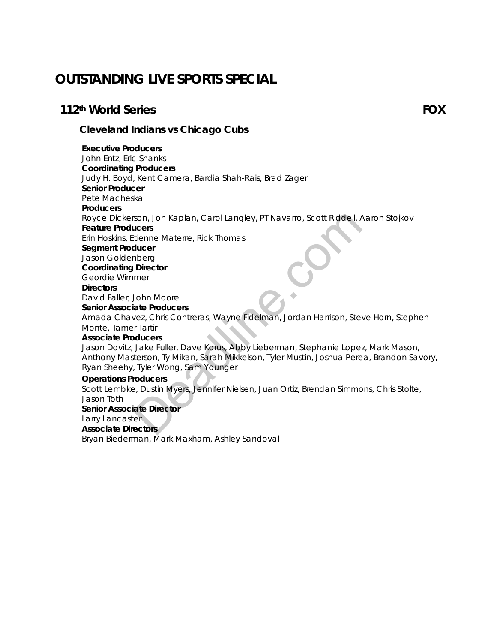# **OUTSTANDING LIVE SPORTS SPECIAL**

## **112th World Series FOX**

*Cleveland Indians vs Chicago Cubs* 

**Executive Producers** John Entz, Eric Shanks **Coordinating Producers** Judy H. Boyd, Kent Camera, Bardia Shah-Rais, Brad Zager **Senior Producer** Pete Macheska **Producers** Royce Dickerson, Jon Kaplan, Carol Langley, PT Navarro, Scott Riddell, Aaron Stojkov **Feature Producers** Erin Hoskins, Etienne Materre, Rick Thomas **Segment Producer** Jason Goldenberg **Coordinating Director** Geordie Wimmer **Directors** David Faller, John Moore **Senior Associate Producers** Amada Chavez, Chris Contreras, Wayne Fidelman, Jordan Harrison, Steve Horn, Stephen Monte, Tamer Tartir **Associate Producers** Jason Dovitz, Jake Fuller, Dave Korus, Abby Lieberman, Stephanie Lopez, Mark Mason, Anthony Masterson, Ty Mikan, Sarah Mikkelson, Tyler Mustin, Joshua Perea, Brandon Savory, Ryan Sheehy, Tyler Wong, Sam Younger **Operations Producers** Scott Lembke, Dustin Myers, Jennifer Nielsen, Juan Ortiz, Brendan Simmons, Chris Stolte, Jason Toth **Senior Associate Director** Larry Lancaster son, Jon Kaplan, Carol Langley, PT Navarro, Scott Riddell, A<br>
deers<br>
diteinne Materre, Rick Thomas<br>
ducer<br>
bherg<br>
Director<br>
mer<br>
John Moore<br>
ate Producers<br>
vez, Chris Contreras, Wayne Fidelman, Jordan Harrison, Stev<br>
17 Ta

**Associate Directors**

Bryan Biederman, Mark Maxham, Ashley Sandoval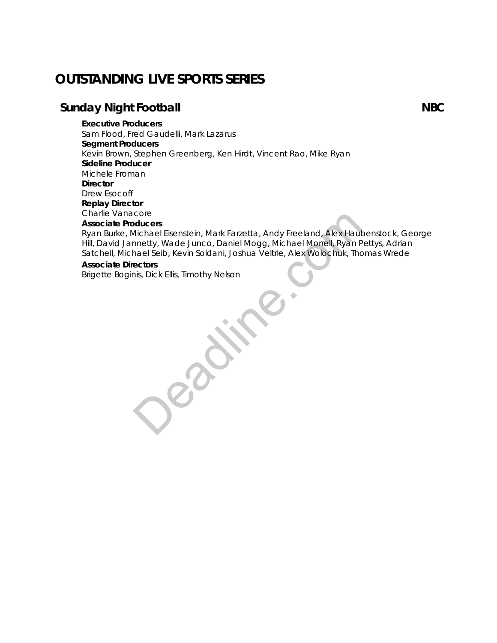# **OUTSTANDING LIVE SPORTS SERIES**

## **Sunday Night Football NBC**

**Executive Producers**

Sam Flood, Fred Gaudelli, Mark Lazarus **Segment Producers** Kevin Brown, Stephen Greenberg, Ken Hirdt, Vincent Rao, Mike Ryan **Sideline Producer** Michele Froman **Director** Drew Esocoff **Replay Director** Charlie Vanacore **Associate Producers**

Ryan Burke, Michael Eisenstein, Mark Farzetta, Andy Freeland, Alex Haubenstock, George Hill, David Jannetty, Wade Junco, Daniel Mogg, Michael Morrell, Ryan Pettys, Adrian Satchell, Michael Seib, Kevin Soldani, Joshua Veltrie, Alex Wolochuk, Thomas Wrede ducers<br>
Idichael Eisenstein, Mark Farzetta, Andy Freeland, Alex Haut<br>
Inchel Ryan P<br>
Inael Seib, Kevin Soldani, Joshua Veltrie, Alex Wolochuk, The<br>
ectors<br>
his, Dick Ellis, Timothy Nelson<br>
Alex Monthur Mexicon<br>
This, Dick

#### **Associate Directors**

Brigette Boginis, Dick Ellis, Timothy Nelson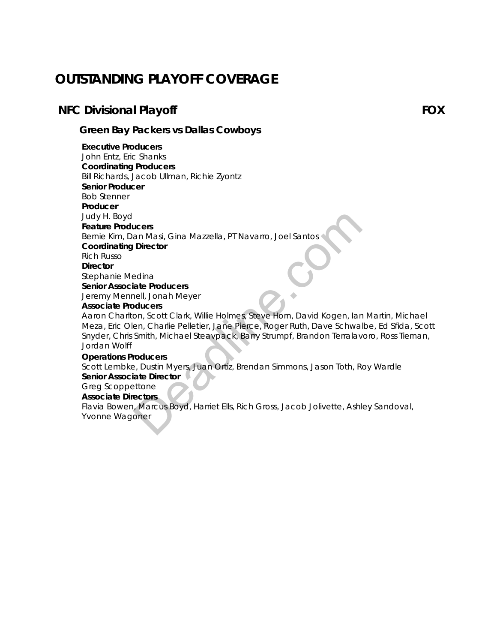# **OUTSTANDING PLAYOFF COVERAGE**

## **NFC Divisional Playoff FOX**

*Green Bay Packers vs Dallas Cowboys*

#### **Executive Producers**

John Entz, Eric Shanks **Coordinating Producers**

Bill Richards, Jacob Ullman, Richie Zyontz

**Senior Producer**

Bob Stenner

**Producer**

Judy H. Boyd

## **Feature Producers**

Bernie Kim, Dan Masi, Gina Mazzella, PT Navarro, Joel Santos

**Coordinating Director**

Rich Russo

**Director**

Stephanie Medina

**Senior Associate Producers**

Jeremy Mennell, Jonah Meyer

#### **Associate Producers**

Aaron Charlton, Scott Clark, Willie Holmes, Steve Horn, David Kogen, Ian Martin, Michael Meza, Eric Olen, Charlie Pelletier, Jane Pierce, Roger Ruth, Dave Schwalbe, Ed Sfida, Scott Snyder, Chris Smith, Michael Steavpack, Barry Strumpf, Brandon Terralavoro, Ross Tiernan, Jordan Wolff Judy H. Boyd<br>
Feature Producers<br>
Bernie Kim, Dan Masi, Gina Mazzella, PT Navarro, Joel Santos<br>
Coordinating Director<br>
Rich Russo<br>
Director<br>
Director<br>
Director<br>
Director<br>
Director<br>
Stephanie Medina<br>
Senciate Producers<br>
Aero

#### **Operations Producers**

Scott Lembke, Dustin Myers, Juan Ortiz, Brendan Simmons, Jason Toth, Roy Wardle **Senior Associate Director**

#### Greg Scoppettone

**Associate Directors**

Flavia Bowen, Marcus Boyd, Harriet Ells, Rich Gross, Jacob Jolivette, Ashley Sandoval, Yvonne Wagoner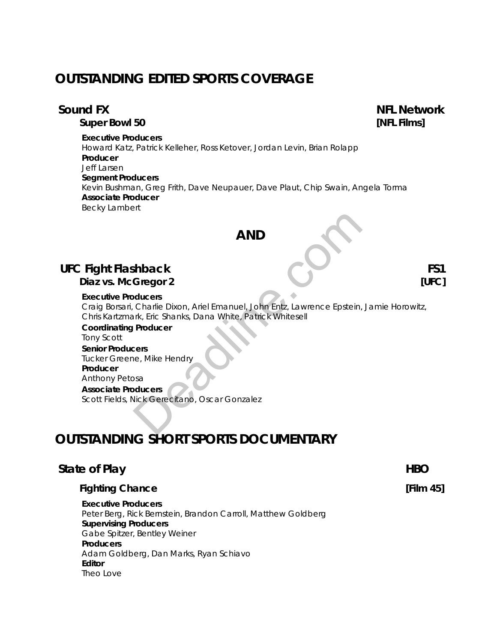# **OUTSTANDING EDITED SPORTS COVERAGE**

 *Super Bowl 50 [NFL Films]*

#### **Executive Producers**

Howard Katz, Patrick Kelleher, Ross Ketover, Jordan Levin, Brian Rolapp **Producer** Jeff Larsen **Segment Producers** Kevin Bushman, Greg Frith, Dave Neupauer, Dave Plaut, Chip Swain, Angela Torma **Associate Producer** Becky Lambert

# **AND**

# **UFC Fight Flashback FS1**

*Diaz vs. McGregor 2 [UFC]*

#### **Executive Producers**

Craig Borsari, Charlie Dixon, Ariel Emanuel, John Entz, Lawrence Epstein, Jamie Horowitz, Chris Kartzmark, Eric Shanks, Dana White, Patrick Whitesell

 **Coordinating Producer** Tony Scott **Senior Producers** Tucker Greene, Mike Hendry **Producer** Anthony Petosa  **Associate Producers** Scott Fields, Nick Gerecitano, Oscar Gonzalez AND<br>
School Charlie Dixon, Ariel Emanuel, John Entz, Lawrence Epstein,<br>
The Charlie Dixon, Ariel Emanuel, John Entz, Lawrence Epstein,<br>
Producer<br>
Producer<br>
Sesa<br>
Mick Gerectiano, Oscar Gonzalez<br>
Sick Gerectiano, Oscar Gonz

# **OUTSTANDING SHORT SPORTS DOCUMENTARY**

## **State of Play HBO**

#### *Fighting Chance [Film 45]*

**Executive Producers** Peter Berg, Rick Bernstein, Brandon Carroll, Matthew Goldberg **Supervising Producers** Gabe Spitzer, Bentley Weiner **Producers** Adam Goldberg, Dan Marks, Ryan Schiavo  **Editor** Theo Love

 **Sound FX NFL Network**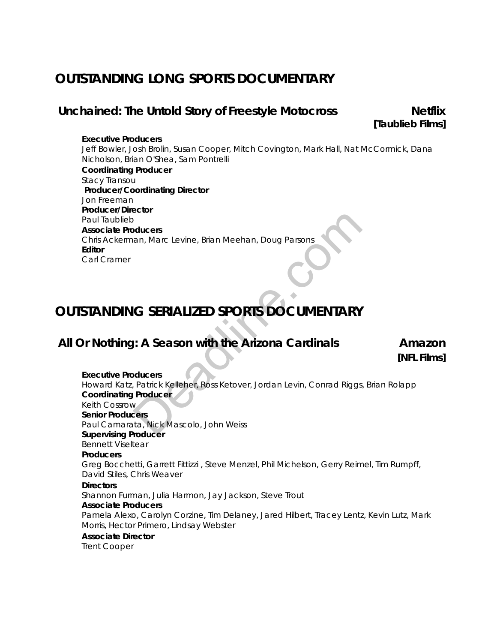# **OUTSTANDING LONG SPORTS DOCUMENTARY**

# Unchained: The Untold Story of Freestyle Motocross Netflix

*[Taublieb Films]* 

#### **Executive Producers**

Jeff Bowler, Josh Brolin, Susan Cooper, Mitch Covington, Mark Hall, Nat McCormick, Dana Nicholson, Brian O'Shea, Sam Pontrelli **Coordinating Producer** Stacy Transou **Producer/Coordinating Director** Jon Freeman **Producer/Director** Paul Taublieb **Associate Producers** Chris Ackerman, Marc Levine, Brian Meehan, Doug Parsons **Editor** Carl Cramer

# **OUTSTANDING SERIALIZED SPORTS DOCUMENTARY**

# **All Or Nothing: A Season with the Arizona Cardinals Amazon**

*[NFL Films]* 

**Executive Producers** Howard Katz, Patrick Kelleher, Ross Ketover, Jordan Levin, Conrad Riggs, Brian Rolapp **Coordinating Producer** Keith Cossrow **Senior Producers** Paul Camarata, Nick Mascolo, John Weiss **Supervising Producer** Bennett Viseltear **Producers** Greg Bocchetti, Garrett Fittizzi , Steve Menzel, Phil Michelson, Gerry Reimel, Tim Rumpff, David Stiles, Chris Weaver **Directors** Shannon Furman, Julia Harmon, Jay Jackson, Steve Trout **Associate Producers** Pamela Alexo, Carolyn Corzine, Tim Delaney, Jared Hilbert, Tracey Lentz, Kevin Lutz, Mark Morris, Hector Primero, Lindsay Webster **Associate Director** bottocher<br>
Salar Marc Levine, Brian Meehan, Doug Parsons<br> **G SERIALIZED SPORTS DOCUMENTARY**<br> **C SERIALIZED SPORTS DOCUMENTARY**<br> **C SERIALIZED SPORTS DOCUMENTARY**<br>
Partick Kelleher, Ross Ketover, Jordan Levin, Conrad Riggs<br>

Trent Cooper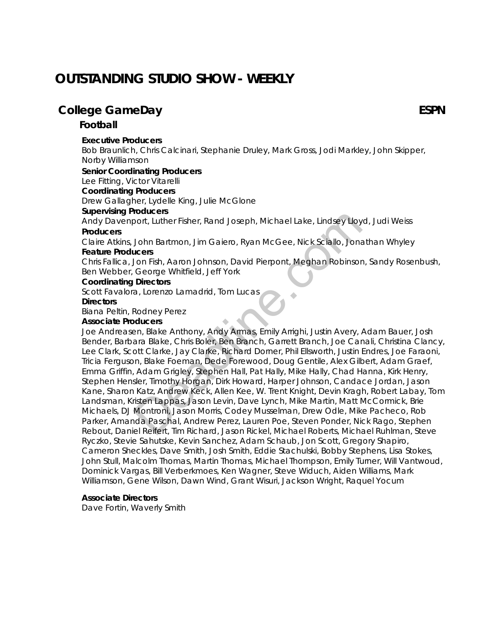# **OUTSTANDING STUDIO SHOW - WEEKLY**

# **College GameDay ESPN**

#### *Football*

#### **Executive Producers**

Bob Braunlich, Chris Calcinari, Stephanie Druley, Mark Gross, Jodi Markley, John Skipper, Norby Williamson

#### **Senior Coordinating Producers**

Lee Fitting, Victor Vitarelli

#### **Coordinating Producers**

Drew Gallagher, Lydelle King, Julie McGlone

#### **Supervising Producers**

Andy Davenport, Luther Fisher, Rand Joseph, Michael Lake, Lindsey Lloyd, Judi Weiss

#### **Producers**

Claire Atkins, John Bartmon, Jim Gaiero, Ryan McGee, Nick Sciallo, Jonathan Whyley **Feature Producers**

Chris Fallica, Jon Fish, Aaron Johnson, David Pierpont, Meghan Robinson, Sandy Rosenbush, Ben Webber, George Whitfield, Jeff York

#### **Coordinating Directors**

Scott Favalora, Lorenzo Lamadrid, Tom Lucas

#### **Directors**

Biana Peltin, Rodney Perez

#### **Associate Producers**

Joe Andreasen, Blake Anthony, Andy Armas, Emily Arrighi, Justin Avery, Adam Bauer, Josh Bender, Barbara Blake, Chris Boler, Ben Branch, Garrett Branch, Joe Canali, Christina Clancy, Lee Clark, Scott Clarke, Jay Clarke, Richard Dorner, Phil Ellsworth, Justin Endres, Joe Faraoni, Tricia Ferguson, Blake Foeman, Dede Forewood, Doug Gentile, Alex Gilbert, Adam Graef, Emma Griffin, Adam Grigley, Stephen Hall, Pat Hally, Mike Hally, Chad Hanna, Kirk Henry, Stephen Hensler, Timothy Horgan, Dirk Howard, Harper Johnson, Candace Jordan, Jason Kane, Sharon Katz, Andrew Keck, Allen Kee, W. Trent Knight, Devin Kragh, Robert Labay, Tom Landsman, Kristen Lappas, Jason Levin, Dave Lynch, Mike Martin, Matt McCormick, Brie Michaels, DJ Montroni, Jason Morris, Codey Musselman, Drew Odle, Mike Pacheco, Rob Parker, Amanda Paschal, Andrew Perez, Lauren Poe, Steven Ponder, Nick Rago, Stephen Rebout, Daniel Reifert, Tim Richard, Jason Rickel, Michael Roberts, Michael Ruhlman, Steve Ryczko, Stevie Sahutske, Kevin Sanchez, Adam Schaub, Jon Scott, Gregory Shapiro, Cameron Sheckles, Dave Smith, Josh Smith, Eddie Stachulski, Bobby Stephens, Lisa Stokes, John Stull, Malcolm Thomas, Martin Thomas, Michael Thompson, Emily Turner, Will Vantwoud, Dominick Vargas, Bill Verberkmoes, Ken Wagner, Steve Widuch, Aiden Williams, Mark Williamson, Gene Wilson, Dawn Wind, Grant Wisuri, Jackson Wright, Raquel Yocum boaters<br>
John Bartmon, Jim Gaiero, Ryan McGee, Nick Sciallo, Jona<br>
John Bartmon, Jim Gaiero, Ryan McGee, Nick Sciallo, Jona<br>
John Bartmon, Jim Gaiero, Ryan McGee, Nick Sciallo, Jona<br>
George Whitfield, Jeff York<br>
Directors<br>

#### **Associate Directors**

Dave Fortin, Waverly Smith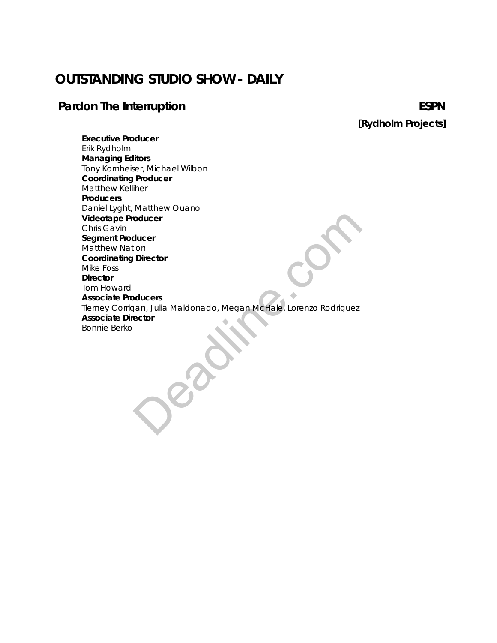# **OUTSTANDING STUDIO SHOW - DAILY**

# **Pardon The Interruption ESPN**

*[Rydholm Projects]*

**Executive Producer** Erik Rydholm **Managing Editors** Tony Kornheiser, Michael Wilbon **Coordinating Producer** Matthew Kelliher **Producers** Daniel Lyght, Matthew Ouano **Videotape Producer** Chris Gavin **Segment Producer** Matthew Nation **Coordinating Director** Mike Foss **Director** Tom Howard **Associate Producers** Tierney Corrigan, Julia Maldonado, Megan McHale, Lorenzo Rodriguez **Associate Director** Bonnie Berko oducer<br>
ducer<br>
Director<br>
pan, Julia Maldonado, Megan MeHale, Lorenzo Rodriguez<br>
ector<br>
Company (Lorenzo Rodriguez<br>
Company (Lorenzo Rodriguez<br>
Company (Lorenzo Rodriguez<br>
Company (Lorenzo Rodriguez<br>
Company (Lorenzo Rodrig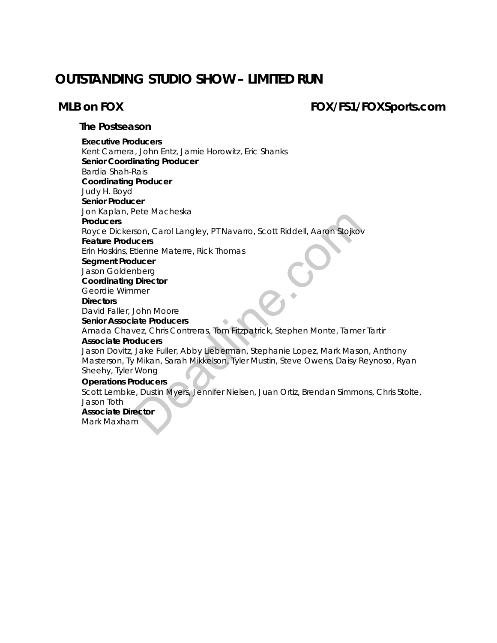# **OUTSTANDING STUDIO SHOW – LIMITED RUN**

# **MLB on FOX FOX/FS1/FOXSports.com**

#### *The Postseason*

**Executive Producers** Kent Camera, John Entz, Jamie Horowitz, Eric Shanks **Senior Coordinating Producer** Bardia Shah-Rais  **Coordinating Producer** Judy H. Boyd **Senior Producer** Jon Kaplan, Pete Macheska **Producers** Royce Dickerson, Carol Langley, PT Navarro, Scott Riddell, Aaron Stojkov **Feature Producers** Erin Hoskins, Etienne Materre, Rick Thomas **Segment Producer** Jason Goldenberg **Coordinating Director** Geordie Wimmer **Directors** David Faller, John Moore **Senior Associate Producers** Amada Chavez, Chris Contreras, Tom Fitzpatrick, Stephen Monte, Tamer Tartir **Associate Producers** Jason Dovitz, Jake Fuller, Abby Lieberman, Stephanie Lopez, Mark Mason, Anthony Masterson, Ty Mikan, Sarah Mikkelson, Tyler Mustin, Steve Owens, Daisy Reynoso, Ryan Sheehy, Tyler Wong **Operations Producers** rete Machieska<br>
Son, Carol Langley, PT Navarro, Scott Riddell, Aaron Stojkov<br>
Locers<br>
Iducer<br>
Inberg<br>
Director<br>
mer<br>
John Moore<br>
Late Producers<br>
Mexic, Chris Contreras, Tom Fitzpatrick, Stephen Monte, Tame<br>
Jake Fuller, Ab

Scott Lembke, Dustin Myers, Jennifer Nielsen, Juan Ortiz, Brendan Simmons, Chris Stolte, Jason Toth

#### **Associate Director**

Mark Maxham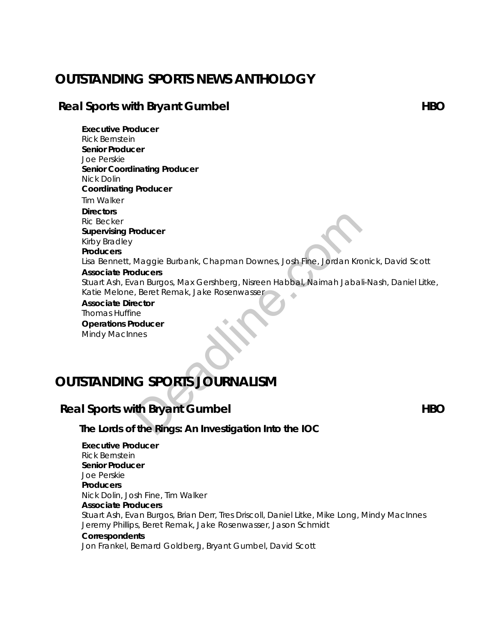# **OUTSTANDING SPORTS NEWS ANTHOLOGY**

# **Real Sports with Bryant Gumbel <b>Figure 2018 HBO**

**Executive Producer** Rick Bernstein  **Senior Producer** Joe Perskie **Senior Coordinating Producer** Nick Dolin **Coordinating Producer**  Tim Walker **Directors** Ric Becker **Supervising Producer** Kirby Bradley **Producers** Lisa Bennett, Maggie Burbank, Chapman Downes, Josh Fine, Jordan Kronick, David Scott **Associate Producers** Stuart Ash, Evan Burgos, Max Gershberg, Nisreen Habbal, Naimah Jabali-Nash, Daniel Litke, Katie Melone, Beret Remak, Jake Rosenwasser  **Associate Director** Thomas Huffine Maggie Burbank, Chapman Downes, Josh Fine, Jordan Kronducers<br>
Maggie Burbank, Chapman Downes, Josh Fine, Jordan Kronducers<br>
Present Remak, Jake Rosenwasser<br>
For Coducer<br>
The Same Remak, Journal School<br>
Controller<br>
Compare

 **Operations Producer** Mindy MacInnes

# **OUTSTANDING SPORTS JOURNALISM**

# **Real Sports with Bryant Gumbel <b>HBO**

*The Lords of the Rings: An Investigation Into the IOC*

**Executive Producer** Rick Bernstein **Senior Producer** Joe Perskie **Producers** Nick Dolin, Josh Fine, Tim Walker **Associate Producers** Stuart Ash, Evan Burgos, Brian Derr, Tres Driscoll, Daniel Litke, Mike Long, Mindy MacInnes Jeremy Phillips, Beret Remak, Jake Rosenwasser, Jason Schmidt **Correspondents**

Jon Frankel, Bernard Goldberg, Bryant Gumbel, David Scott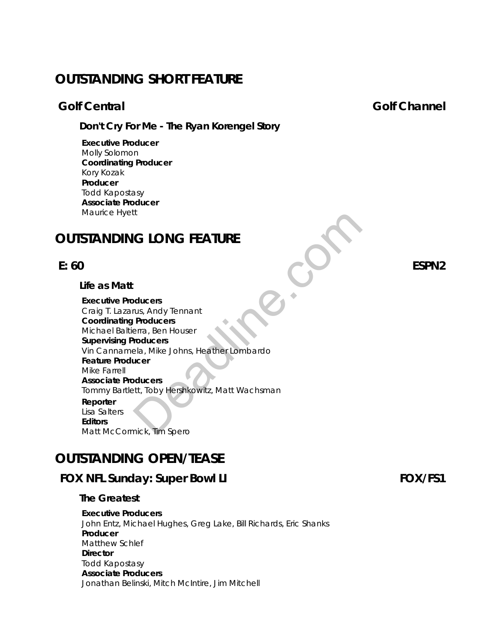# **OUTSTANDING SHORT FEATURE**

*Don't Cry For Me - The Ryan Korengel Story* 

**Executive Producer** Molly Solomon **Coordinating Producer** Kory Kozak **Producer** Todd Kapostasy **Associate Producer** Maurice Hyett

# **OUTSTANDING LONG FEATURE**

*Life as Matt* 

**Executive Producers** Craig T. Lazarus, Andy Tennant **Coordinating Producers** Michael Baltierra, Ben Houser **Supervising Producers** Vin Cannamela, Mike Johns, Heather Lombardo **Feature Producer** Mike Farrell **Associate Producers** Tommy Bartlett, Toby Hershkowitz, Matt Wachsman **Reporter** Lisa Salters **Editors** Matt McCormick, Tim Spero ICT CONCREATURE<br>
Divideous<br>
Mus. Andy Tennant<br>
Producers<br>
Final Readles<br>
Final Readles<br>
IP Contains and House<br>
IP Container Lombardo<br>
Licer<br>
Divideous<br>
Studies<br>
Studies<br>
Studies<br>
Studies<br>
Studies<br>
Studies<br>
Studies<br>
Studies

# **OUTSTANDING OPEN/TEASE**

# FOX NFL Sunday: Super Bowl LI **FOX/FS1**

#### *The Greatest*

**Executive Producers** John Entz, Michael Hughes, Greg Lake, Bill Richards, Eric Shanks **Producer** Matthew Schlef **Director** Todd Kapostasy **Associate Producers** Jonathan Belinski, Mitch McIntire, Jim Mitchell

 **E: 60 ESPN2**

## **Colf Central Contral Colf Channel**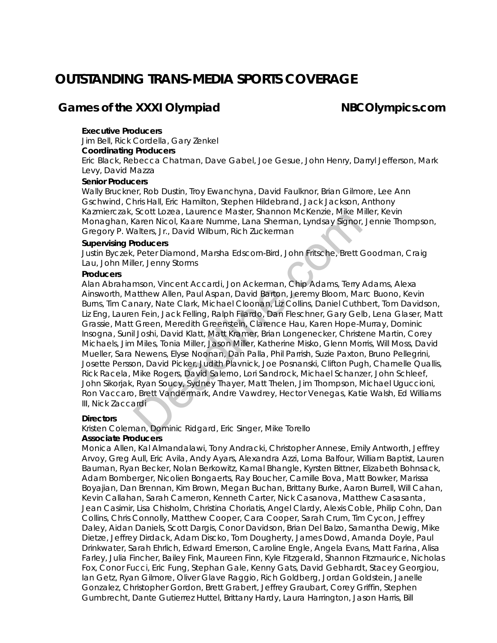# **OUTSTANDING TRANS-MEDIA SPORTS COVERAGE**

## **Games of the XXXI Olympiad MBCOlympics.com**

#### **Executive Producers**

Jim Bell, Rick Cordella, Gary Zenkel

#### **Coordinating Producers**

Eric Black, Rebecca Chatman, Dave Gabel, Joe Gesue, John Henry, Darryl Jefferson, Mark Levy, David Mazza

#### **Senior Producers**

Wally Bruckner, Rob Dustin, Troy Ewanchyna, David Faulknor, Brian Gilmore, Lee Ann Gschwind, Chris Hall, Eric Hamilton, Stephen Hildebrand, Jack Jackson, Anthony Kazmierczak, Scott Lozea, Laurence Master, Shannon McKenzie, Mike Miller, Kevin Monaghan, Karen Nicol, Kaare Numme, Lana Sherman, Lyndsay Signor, Jennie Thompson, Gregory P. Walters, Jr., David Wilburn, Rich Zuckerman

#### **Supervising Producers**

Justin Byczek, Peter Diamond, Marsha Edscorn-Bird, John Fritsche, Brett Goodman, Craig Lau, John Miller, Jenny Storms

#### **Producers**

Alan Abrahamson, Vincent Accardi, Jon Ackerman, Chip Adams, Terry Adams, Alexa Ainsworth, Matthew Allen, Paul Aspan, David Barton, Jeremy Bloom, Marc Buono, Kevin Burns, Tim Canary, Nate Clark, Michael Cloonan, Liz Collins, Daniel Cuthbert, Tom Davidson, Liz Eng, Lauren Fein, Jack Felling, Ralph Filardo, Dan Fleschner, Gary Gelb, Lena Glaser, Matt Grassie, Matt Green, Meredith Greenstein, Clarence Hau, Karen Hope-Murray, Dominic Insogna, Sunil Joshi, David Klatt, Matt Kramer, Brian Longenecker, Christene Martin, Corey Michaels, Jim Miles, Tonia Miller, Jason Miller, Katherine Misko, Glenn Morris, Will Moss, David Mueller, Sara Newens, Elyse Noonan, Dan Palla, Phil Parrish, Suzie Paxton, Bruno Pellegrini, Josette Persson, David Picker, Judith Plavnick, Joe Posnanski, Clifton Pugh, Charnelle Quallis, Rick Racela, Mike Rogers, David Salerno, Lori Sandrock, Michael Schanzer, John Schleef, John Sikorjak, Ryan Soucy, Sydney Thayer, Matt Thelen, Jim Thompson, Michael Uguccioni, Ron Vaccaro, Brett Vandermark, Andre Vawdrey, Hector Venegas, Katie Walsh, Ed Williams III, Nick Zaccardi Scott Evere, tamente wiseler, sinanion invictenties, which<br>Karen Nicol, Kaare Numme, Lana Sherman, Lyndsay Signor,<br>'alters, Jr., David Wilburn, Rich Zuckerman<br>Poducers<br>Peter Diamond, Marsha Edscorn-Bird, John Fritsche, Bre

#### **Directors**

Kristen Coleman, Dominic Ridgard, Eric Singer, Mike Torello

#### **Associate Producers**

Monica Allen, Kal Almandalawi, Tony Andracki, Christopher Annese, Emily Antworth, Jeffrey Arvoy, Greg Aull, Eric Avila, Andy Ayars, Alexandra Azzi, Lorna Balfour, William Baptist, Lauren Bauman, Ryan Becker, Nolan Berkowitz, Kamal Bhangle, Kyrsten Bittner, Elizabeth Bohnsack, Adam Bomberger, Nicolien Bongaerts, Ray Boucher, Camille Bova, Matt Bowker, Marissa Boyajian, Dan Brennan, Kim Brown, Megan Buchan, Brittany Burke, Aaron Burrell, Will Cahan, Kevin Callahan, Sarah Cameron, Kenneth Carter, Nick Casanova, Matthew Casasanta, Jean Casimir, Lisa Chisholm, Christina Choriatis, Angel Clardy, Alexis Coble, Philip Cohn, Dan Collins, Chris Connolly, Matthew Cooper, Cara Cooper, Sarah Crum, Tim Cycon, Jeffrey Daley, Aidan Daniels, Scott Dargis, Conor Davidson, Brian Del Balzo, Samantha Dewig, Mike Dietze, Jeffrey Dirdack, Adam Discko, Tom Dougherty, James Dowd, Amanda Doyle, Paul Drinkwater, Sarah Ehrlich, Edward Emerson, Caroline Engle, Angela Evans, Matt Farina, Alisa Farley, Julia Fincher, Bailey Fink, Maureen Finn, Kyle Fitzgerald, Shannon Fitzmaurice, Nicholas Fox, Conor Fucci, Eric Fung, Stephan Gale, Kenny Gats, David Gebhardt, Stacey Georgiou, Ian Getz, Ryan Gilmore, Oliver Glave Raggio, Rich Goldberg, Jordan Goldstein, Janelle Gonzalez, Christopher Gordon, Brett Grabert, Jeffrey Graubart, Corey Griffin, Stephen Gumbrecht, Dante Gutierrez Huttel, Brittany Hardy, Laura Harrington, Jason Harris, Bill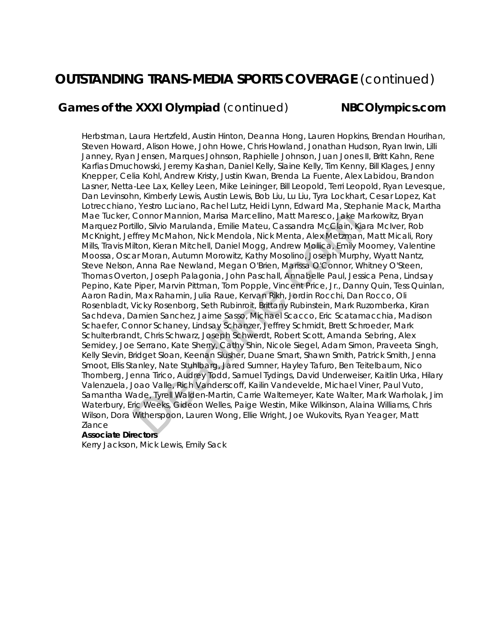# **OUTSTANDING TRANS-MEDIA SPORTS COVERAGE** (continued)

# **Games of the XXXI Olympiad** (continued) **NBCOlympics.com**

Herbstman, Laura Hertzfeld, Austin Hinton, Deanna Hong, Lauren Hopkins, Brendan Hourihan, Steven Howard, Alison Howe, John Howe, Chris Howland, Jonathan Hudson, Ryan Irwin, Lilli Janney, Ryan Jensen, Marques Johnson, Raphielle Johnson, Juan Jones II, Britt Kahn, Rene Karfias Dmuchowski, Jeremy Kashan, Daniel Kelly, Slaine Kelly, Tim Kenny, Bill Klages, Jenny Knepper, Celia Kohl, Andrew Kristy, Justin Kwan, Brenda La Fuente, Alex Labidou, Brandon Lasner, Netta-Lee Lax, Kelley Leen, Mike Leininger, Bill Leopold, Terri Leopold, Ryan Levesque, Dan Levinsohn, Kimberly Lewis, Austin Lewis, Bob Liu, Lu Liu, Tyra Lockhart, Cesar Lopez, Kat Lotrecchiano, Yestro Luciano, Rachel Lutz, Heidi Lynn, Edward Ma, Stephanie Mack, Martha Mae Tucker, Connor Mannion, Marisa Marcellino, Matt Maresco, Jake Markowitz, Bryan Marquez Portillo, Silvio Marulanda, Emilie Mateu, Cassandra McClain, Kiara McIver, Rob McKnight, Jeffrey McMahon, Nick Mendola, Nick Menta, Alex Metzman, Matt Micali, Rory Mills, Travis Milton, Kieran Mitchell, Daniel Mogg, Andrew Mollica, Emily Moomey, Valentine Moossa, Oscar Moran, Autumn Morowitz, Kathy Mosolino, Joseph Murphy, Wyatt Nantz, Steve Nelson, Anna Rae Newland, Megan O'Brien, Marissa O'Connor, Whitney O'Steen, Thomas Overton, Joseph Palagonia, John Paschall, Annabelle Paul, Jessica Pena, Lindsay Pepino, Kate Piper, Marvin Pittman, Tom Popple, Vincent Price, Jr., Danny Quin, Tess Quinlan, Aaron Radin, Max Rahamin, Julia Raue, Kervan Rikh, Jordin Rocchi, Dan Rocco, Oli Rosenbladt, Vicky Rosenborg, Seth Rubinroit, Brittany Rubinstein, Mark Ruzomberka, Kiran Sachdeva, Damien Sanchez, Jaime Sasso, Michael Scacco, Eric Scatamacchia, Madison Schaefer, Connor Schaney, Lindsay Schanzer, Jeffrey Schmidt, Brett Schroeder, Mark Schulterbrandt, Chris Schwarz, Joseph Schwerdt, Robert Scott, Amanda Sebring, Alex Semidey, Joe Serrano, Kate Sherry, Cathy Shin, Nicole Siegel, Adam Simon, Praveeta Singh, Kelly Slevin, Bridget Sloan, Keenan Slusher, Duane Smart, Shawn Smith, Patrick Smith, Jenna Smoot, Ellis Stanley, Nate Stuhlbarg, Jared Sumner, Hayley Tafuro, Ben Teitelbaum, Nico Thornberg, Jenna Tirico, Audrey Todd, Samuel Tydings, David Underweiser, Kaitlin Urka, Hilary Valenzuela, Joao Valle, Rich Vanderscoff, Kailin Vandevelde, Michael Viner, Paul Vuto, Samantha Wade, Tyrell Walden-Martin, Carrie Waltemeyer, Kate Walter, Mark Warholak, Jim Waterbury, Eric Weeks, Gideon Welles, Paige Westin, Mike Wilkinson, Alaina Williams, Chris Wilson, Dora Witherspoon, Lauren Wong, Ellie Wright, Joe Wukovits, Ryan Yeager, Matt Ziance Connor Mannion, Marisa Marcellino, Matt Maresco, Jake Millo, Silvio Marulanda, Emilie Mateu, Cassandra McClain, Kiffrey McMahon, Nick Mendola, Nick Mendola, Nick Mendola, Nick Mendola, Nick Mendola, Nick Mendola, Dick Mend

#### **Associate Directors**

Kerry Jackson, Mick Lewis, Emily Sack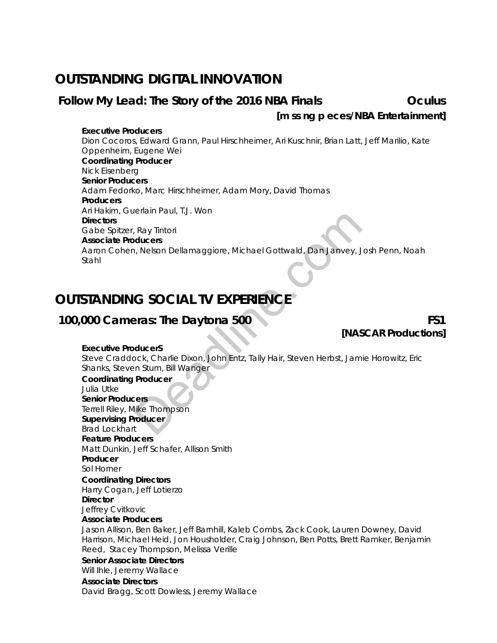# **OUTSTANDING DIGITAL INNOVATION**

## Follow My Lead: The Story of the 2016 NBA Finals **COLICE COLICE COLICE COLICE COLICE**

## *[m ss ng p eces/NBA Entertainment]*

**Executive Producers** Dion Cocoros, Edward Grann, Paul Hirschheimer, Ari Kuschnir, Brian Latt, Jeff Marilio, Kate Oppenheim, Eugene Wei  **Coordinating Producer** Nick Eisenberg  **Senior Producers** Adam Fedorko, Marc Hirschheimer, Adam Mory, David Thomas **Producers** Ari Hakim, Guerlain Paul, T.J. Won **Directors** Gabe Spitzer, Ray Tintori  **Associate Producers** Aaron Cohen, Nelson Dellamaggiore, Michael Gottwald, Dan Janvey, Josh Penn, Noah Stahl Ray Tintori<br>
Ray Tintori<br>
N, Nelson Dellamaggiore, Michael Gottwald, Dan Janvey, J<br> **G SOCIAL TV EXPERIENCE**<br>
Pras: The Daytona 500<br>
Mas<br>
Mas<br>
Mas<br>
Mas<br>
Producer<br>
Producer<br>
Producer<br>
Res<br>
Alke Thompson<br>
Toducer<br>
The Dayton

# **OUTSTANDING SOCIAL TV EXPERIENCE**

# **100,000 Cameras: The Daytona 500 FS1**

*[NASCAR Productions]*

#### **Executive ProducerS**

Steve Craddock, Charlie Dixon, John Entz, Tally Hair, Steven Herbst, Jamie Horowitz, Eric Shanks, Steven Stum, Bill Wanger

**Coordinating Producer** Julia Utke

**Senior Producers** Terrell Riley, Mike Thompson **Supervising Producer**

#### Brad Lockhart **Feature Producers**

Matt Dunkin, Jeff Schafer, Allison Smith

 **Producer**

Sol Horner

**Coordinating Directors** Harry Cogan, Jeff Lotierzo **Director**

Jeffrey Cvitkovic

**Associate Producers** 

 Jason Allison, Ben Baker, Jeff Barnhill, Kaleb Combs, Zack Cook, Lauren Downey, David Harrison, Michael Heid, Jon Housholder, Craig Johnson, Ben Potts, Brett Ramker, Benjamin Reed, Stacey Thompson, Melissa Verille

#### **Senior Associate Directors**

Will Ihle, Jeremy Wallace

#### **Associate Directors**

David Bragg, Scott Dowless, Jeremy Wallace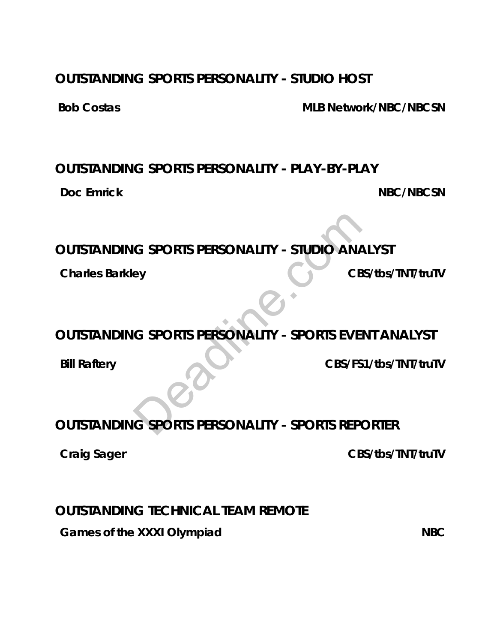# **OUTSTANDING SPORTS PERSONALITY - STUDIO HOST**

**Bob Costas MLB Network/NBC/NBCSN**

# **OUTSTANDING SPORTS PERSONALITY - PLAY-BY-PLAY**

**Doc Emrick NBC/NBCSN** 

# **OUTSTANDING SPORTS PERSONALITY - STUDIO ANALYST**

**Charles Barkley Charles Barkley CBS/tbs/TNT/truTV** 

# **OUTSTANDING SPORTS PERSONALITY - SPORTS EVENT ANALYST**

**Bill Raftery CBS/FS1/tbs/TNT/truTV** 

# **OUTSTANDING SPORTS PERSONALITY - SPORTS REPORTER** G SPORTS PERSONALITY - STUDIO ANA

**Craig Sager CRS/tbs/TNT/truTV** 

# **OUTSTANDING TECHNICAL TEAM REMOTE**

**Games of the XXXI Olympiad NBC**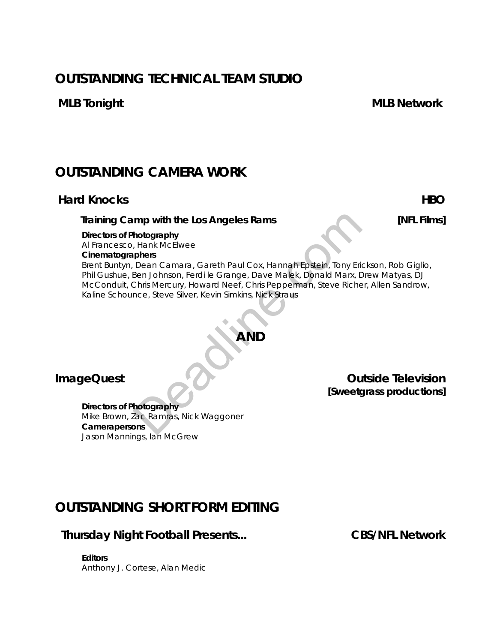# **OUTSTANDING TECHNICAL TEAM STUDIO**

# **OUTSTANDING CAMERA WORK**

# **Hard Knocks** HBO

## *Training Camp with the Los Angeles Rams [NFL Films]*

**Directors of Photography** Al Francesco, Hank McElwee

#### **Cinematographers**

Brent Buntyn, Dean Camara, Gareth Paul Cox, Hannah Epstein, Tony Erickson, Rob Giglio, Phil Gushue, Ben Johnson, Ferdi le Grange, Dave Malek, Donald Marx, Drew Matyas, DJ McConduit, Chris Mercury, Howard Neef, Chris Pepperman, Steve Richer, Allen Sandrow, Kaline Schounce, Steve Silver, Kevin Simkins, Nick Straus mp with the Los Angeles Rams<br>
hotography<br>
, Hank McElwee<br>
phers<br>
Dean Camara, Gareth Paul Cox, Hannah Epstein, Tony Eric<br>
Ben Johnson, Ferdi le Grange, Dave Malek, Donald Marx, D<br>
Chris Mercury, Howard Neef, Chris Pepperma

# **AND**

**Directors of Photography** Mike Brown, Zac Ramras, Nick Waggoner **Camerapersons** Jason Mannings, Ian McGrew

**ImageQuest CONSIDERED AT A RESPONSE** *DECISION* **<b>Outside Television** *[Sweetgrass productions]*

# **OUTSTANDING SHORT FORM EDITING**

## **Thursday Night Football Presents... CBS/NFL Network**

**Editors** Anthony J. Cortese, Alan Medic

**MLB Tonight MLB Network**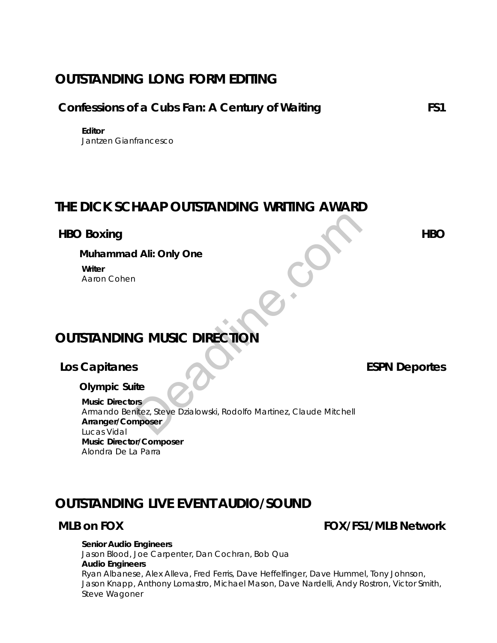# **OUTSTANDING LONG FORM EDITING**

## **Confessions of a Cubs Fan: A Century of Waiting FS1**

**Editor** Jantzen Gianfrancesco

# **THE DICK SCHAAP OUTSTANDING WRITING AWARD**

## **HBO Boxing HBO**

*Muhammad Ali: Only One* **Writer** Aaron Cohen

# **OUTSTANDING MUSIC DIRECTION**

# Los Capitanes **ESPN** Deportes

*Olympic Suite*

**Music Directors** Armando Benitez, Steve Dzialowski, Rodolfo Martinez, Claude Mitchell **Arranger/Composer** Lucas Vidal **Music Director/Composer** Alondra De La Parra Deadline.com

# **OUTSTANDING LIVE EVENT AUDIO/SOUND**

## **MLB on FOX FOX/FS1/MLB Network**

#### **Senior Audio Engineers**

Jason Blood, Joe Carpenter, Dan Cochran, Bob Qua **Audio Engineers**

Ryan Albanese, Alex Alleva, Fred Ferris, Dave Heffelfinger, Dave Hummel, Tony Johnson, Jason Knapp, Anthony Lomastro, Michael Mason, Dave Nardelli, Andy Rostron, Victor Smith, Steve Wagoner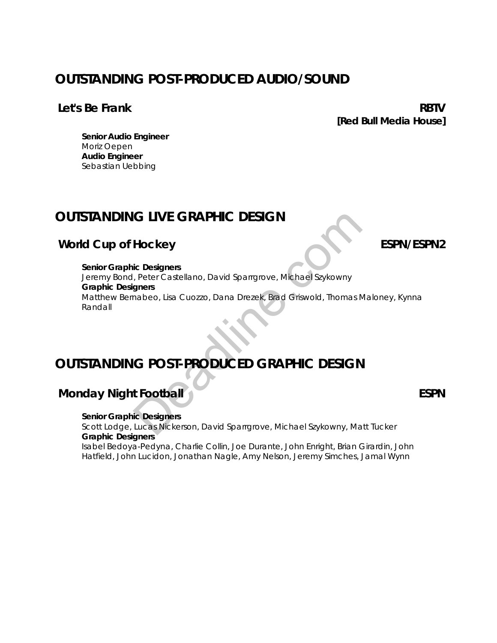# **OUTSTANDING POST-PRODUCED AUDIO/SOUND**

## **Let's Be Frank RBTV**

*[Red Bull Media House]*

**Senior Audio Engineer** Moriz Oepen **Audio Engineer** Sebastian Uebbing

# **OUTSTANDING LIVE GRAPHIC DESIGN**

# *World Cup of Hockey* **<b>ESPN/ESPN2**

**Senior Graphic Designers** Jeremy Bond, Peter Castellano, David Sparrgrove, Michael Szykowny **Graphic Designers** Matthew Bernabeo, Lisa Cuozzo, Dana Drezek, Brad Griswold, Thomas Maloney, Kynna Randall **G LIVE GRAPHIC DESIGN<br>
Hockey<br>
C Designers<br>
Peter Castellano, David Sparrgrove, Michael Szykowny<br>
gners<br>
C POST-PRODUCED GRAPHIC DESIGN<br>
t Football<br>
tic Designers<br>
Lucas Nickerson, David Sparrgrove, Michael Szykowny, Ma** 

# **OUTSTANDING POST-PRODUCED GRAPHIC DESIGN**

# **Monday Night Football ESPN**

**Senior Graphic Designers** Scott Lodge, Lucas Nickerson, David Sparrgrove, Michael Szykowny, Matt Tucker **Graphic Designers**

Isabel Bedoya-Pedyna, Charlie Collin, Joe Durante, John Enright, Brian Girardin, John Hatfield, John Lucidon, Jonathan Nagle, Amy Nelson, Jeremy Simches, Jamal Wynn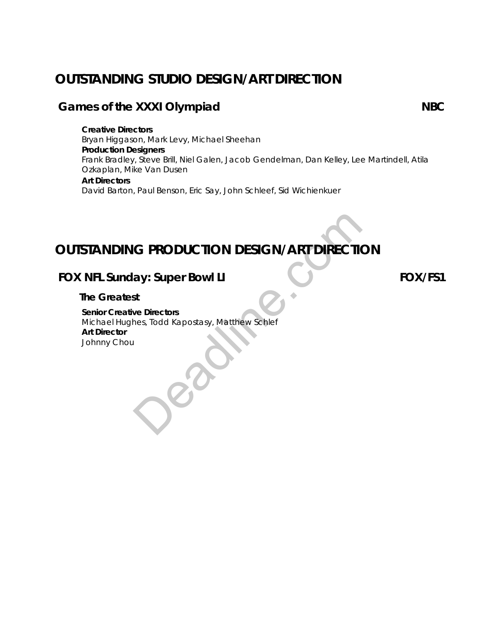# **OUTSTANDING STUDIO DESIGN/ART DIRECTION**

## **Games of the XXXI Olympiad NBC**

**Creative Directors** Bryan Higgason, Mark Levy, Michael Sheehan **Production Designers** Frank Bradley, Steve Brill, Niel Galen, Jacob Gendelman, Dan Kelley, Lee Martindell, Atila Ozkaplan, Mike Van Dusen **Art Directors** David Barton, Paul Benson, Eric Say, John Schleef, Sid Wichienkuer

# **OUTSTANDING PRODUCTION DESIGN/ART DIRECTION**

# **FOX NFL Sunday: Super Bowl LI FOX/FS1**

## *The Greatest*

**Senior Creative Directors** Michael Hughes, Todd Kapostasy, Matthew Schlef **Art Director** Johnny Chou OUTSTANDING PRODUCTION DESIGN/ART DIRECTION<br>
FOX NFL Sunday: Super Bowl LI<br>
The Greatest<br>
Senior Creative Directors<br>
Michael Hughes, Todd Kapostasy, Matthew Schlef<br>
Art Director<br>
Johnny Chou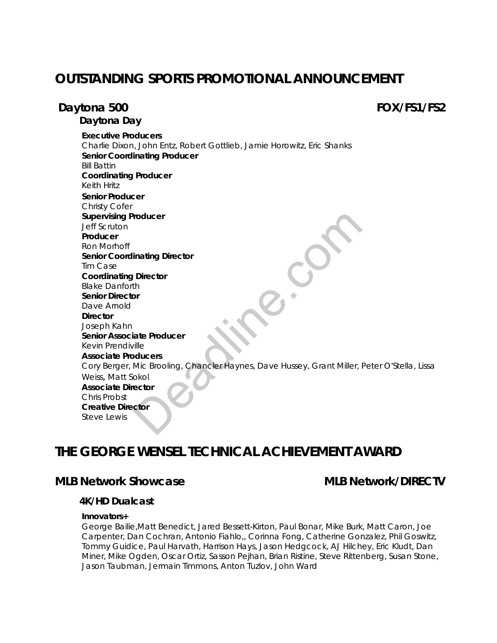# **OUTSTANDING SPORTS PROMOTIONAL ANNOUNCEMENT**

## **Daytona 500 FOX/FS1/FS2**

*Daytona Day*

**Executive Producers** Charlie Dixon, John Entz, Robert Gottlieb, Jamie Horowitz, Eric Shanks **Senior Coordinating Producer** Bill Battin **Coordinating Producer** Keith Hritz **Senior Producer** Christy Cofer **Supervising Producer** Jeff Scruton **Producer** Ron Morhoff **Senior Coordinating Director** Tim Case **Coordinating Director** Blake Danforth **Senior Director** Dave Arnold **Director** Joseph Kahn **Senior Associate Producer** Kevin Prendiville **Associate Producers** Cory Berger, Mic Brooling, Chancler Haynes, Dave Hussey, Grant Miller, Peter O'Stella, Lissa Weiss, Matt Sokol **Associate Director** Chris Probst **Creative Director** Steve Lewis roducer<br>
inating Director<br>
Director<br>
th<br>
dideers<br>
Mic Brooling, Chancler Haynes, Dave Hussey, Grant Miller, I<br>
ector<br>
color

# **THE GEORGE WENSEL TECHNICAL ACHIEVEMENT AWARD**

## **MLB Network Showcase MLB Network/DIRECTV**

#### *4K/HD Dualcast*

#### **Innovators+**

George Bailie,Matt Benedict, Jared Bessett-Kirton, Paul Bonar, Mike Burk, Matt Caron, Joe Carpenter, Dan Cochran, Antonio Fiahlo,, Corinna Fong, Catherine Gonzalez, Phil Goswitz, Tommy Guidice, Paul Harvath, Harrison Hays, Jason Hedgcock, AJ Hilchey, Eric Kludt, Dan Miner, Mike Ogden, Oscar Ortiz, Sasson Pejhan, Brian Ristine, Steve Rittenberg, Susan Stone, Jason Taubman, Jermain Timmons, Anton Tuzlov, John Ward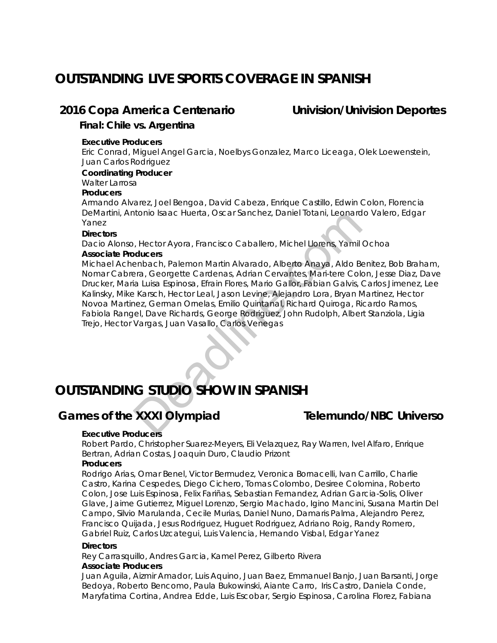# **OUTSTANDING LIVE SPORTS COVERAGE IN SPANISH**

## **2016 Copa America Centenario Univision/Univision Deportes**

*Final: Chile vs. Argentina* 

#### **Executive Producers**

Eric Conrad, Miguel Angel Garcia, Noelbys Gonzalez, Marco Liceaga, Olek Loewenstein, Juan Carlos Rodriguez

#### **Coordinating Producer**

Walter Larrosa

#### **Producers**

Armando Alvarez, Joel Bengoa, David Cabeza, Enrique Castillo, Edwin Colon, Florencia DeMartini, Antonio Isaac Huerta, Oscar Sanchez, Daniel Totani, Leonardo Valero, Edgar Yanez

#### **Directors**

Dacio Alonso, Hector Ayora, Francisco Caballero, Michel Llorens, Yamil Ochoa

#### **Associate Producers**

Michael Achenbach, Palemon Martin Alvarado, Alberto Anaya, Aldo Benitez, Bob Braham, Nomar Cabrera, Georgette Cardenas, Adrian Cervantes, Mari-tere Colon, Jesse Diaz, Dave Drucker, Maria Luisa Espinosa, Efrain Flores, Mario Gallor, Fabian Galvis, Carlos Jimenez, Lee Kalinsky, Mike Karsch, Hector Leal, Jason Levine, Alejandro Lora, Bryan Martinez, Hector Novoa Martinez, German Ornelas, Emilio Quintanal, Richard Quiroga, Ricardo Ramos, Fabiola Rangel, Dave Richards, George Rodriguez, John Rudolph, Albert Stanziola, Ligia Trejo, Hector Vargas, Juan Vasallo, Carlos Venegas nonio isaac Hueria, Oscal Sancriez, Danier Iotani, Leonard<br>
Deadliners, Yamilton<br>
Deadliners, Ado Beatles, Adon<br>
Palemon Martin Alvarado, Alberto Anaya, Aldo Beara.<br>
Staristic Cardenas, Adrian Cervantes, Mari-tree Color<br>
L

# **OUTSTANDING STUDIO SHOW IN SPANISH**

# **Games of the XXXI Olympiad Telemundo/NBC Universo**

#### **Executive Producers**

Robert Pardo, Christopher Suarez-Meyers, Eli Velazquez, Ray Warren, Ivel Alfaro, Enrique Bertran, Adrian Costas, Joaquin Duro, Claudio Prizont

#### **Producers**

Rodrigo Arias, Omar Benel, Victor Bermudez, Veronica Bornacelli, Ivan Carrillo, Charlie Castro, Karina Cespedes, Diego Cichero, Tomas Colombo, Desiree Colomina, Roberto Colon, Jose Luis Espinosa, Felix Fariñas, Sebastian Fernandez, Adrian Garcia-Solis, Oliver Glave, Jaime Gutierrez, Miguel Lorenzo, Sergio Machado, Igino Mancini, Susana Martin Del Campo, Silvio Marulanda, Cecile Murias, Daniel Nuno, Damaris Palma, Alejandro Perez, Francisco Quijada, Jesus Rodriguez, Huguet Rodriguez, Adriano Roig, Randy Romero, Gabriel Ruiz, Carlos Uzcategui, Luis Valencia, Hernando Visbal, Edgar Yanez

#### **Directors**

Rey Carrasquillo, Andres Garcia, Kamel Perez, Gilberto Rivera

#### **Associate Producers**

Juan Aguila, Aizmir Amador, Luis Aquino, Juan Baez, Emmanuel Banjo, Juan Barsanti, Jorge Bedoya, Roberto Bencomo, Paula Bukowinski, Aiante Carro, Iris Castro, Daniela Conde, Maryfatima Cortina, Andrea Edde, Luis Escobar, Sergio Espinosa, Carolina Florez, Fabiana